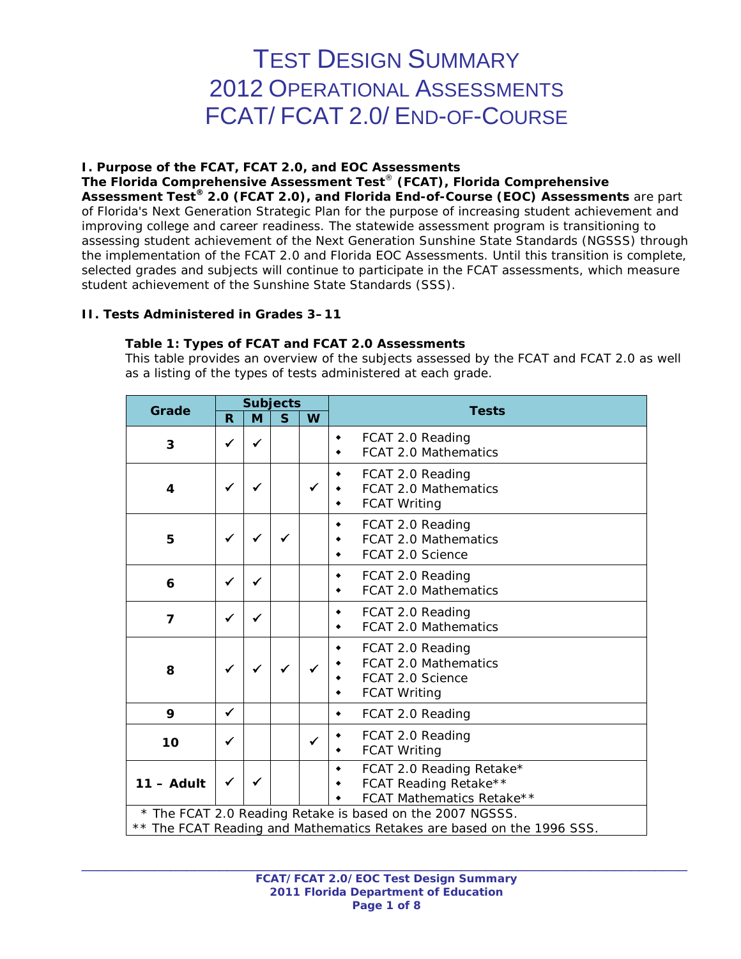# TEST DESIGN SUMMARY 2012 OPERATIONAL ASSESSMENTS FCAT/ FCAT 2.0/ END-OF-COURSE

## **I. Purpose of the FCAT, FCAT 2.0, and EOC Assessments**

**The Florida Comprehensive Assessment Test**® **(FCAT), Florida Comprehensive Assessment Test® 2.0 (FCAT 2.0), and Florida End-of-Course (EOC) Assessments** are part of Florida's Next Generation Strategic Plan for the purpose of increasing student achievement and improving college and career readiness. The statewide assessment program is transitioning to assessing student achievement of the Next Generation Sunshine State Standards (NGSSS) through the implementation of the FCAT 2.0 and Florida EOC Assessments. Until this transition is complete, selected grades and subjects will continue to participate in the FCAT assessments, which measure student achievement of the Sunshine State Standards (SSS).

# **II. Tests Administered in Grades 3–11**

# **Table 1: Types of FCAT and FCAT 2.0 Assessments**

*This table provides an overview of the subjects assessed by the FCAT and FCAT 2.0 as well as a listing of the types of tests administered at each grade.*

|                | <b>Subjects</b> |              |              |              |                                                                                                                                     |
|----------------|-----------------|--------------|--------------|--------------|-------------------------------------------------------------------------------------------------------------------------------------|
| Grade          | R               | M            | $\mathbf{s}$ | W            | <b>Tests</b>                                                                                                                        |
| 3              | ✓               | $\checkmark$ |              |              | FCAT 2.0 Reading<br>٠<br>FCAT 2.0 Mathematics<br>٠                                                                                  |
| 4              | ✓               |              |              | $\checkmark$ | FCAT 2.0 Reading<br>٠<br><b>FCAT 2.0 Mathematics</b><br><b>FCAT Writing</b><br>٠                                                    |
| 5              | ✓               |              |              |              | FCAT 2.0 Reading<br>۰<br><b>FCAT 2.0 Mathematics</b><br>FCAT 2.0 Science<br>٠                                                       |
| 6              | ✓               |              |              |              | FCAT 2.0 Reading<br>۰<br><b>FCAT 2.0 Mathematics</b><br>٠                                                                           |
| $\overline{7}$ | ✓               |              |              |              | FCAT 2.0 Reading<br>۰<br>FCAT 2.0 Mathematics<br>٠                                                                                  |
| 8              | ✓               | $\checkmark$ |              |              | FCAT 2.0 Reading<br>٠<br><b>FCAT 2.0 Mathematics</b><br>FCAT 2.0 Science<br>٠<br><b>FCAT Writing</b>                                |
| 9              | $\checkmark$    |              |              |              | FCAT 2.0 Reading<br>۰                                                                                                               |
| 10             | ✓               |              |              | ✓            | FCAT 2.0 Reading<br><b>FCAT Writing</b><br>٠                                                                                        |
| $11 -$ Adult   | ✓               | ✓            |              |              | FCAT 2.0 Reading Retake*<br>۰<br>FCAT Reading Retake**<br>٠<br>FCAT Mathematics Retake**                                            |
|                |                 |              |              |              | * The FCAT 2.0 Reading Retake is based on the 2007 NGSSS.<br>** The FCAT Reading and Mathematics Retakes are based on the 1996 SSS. |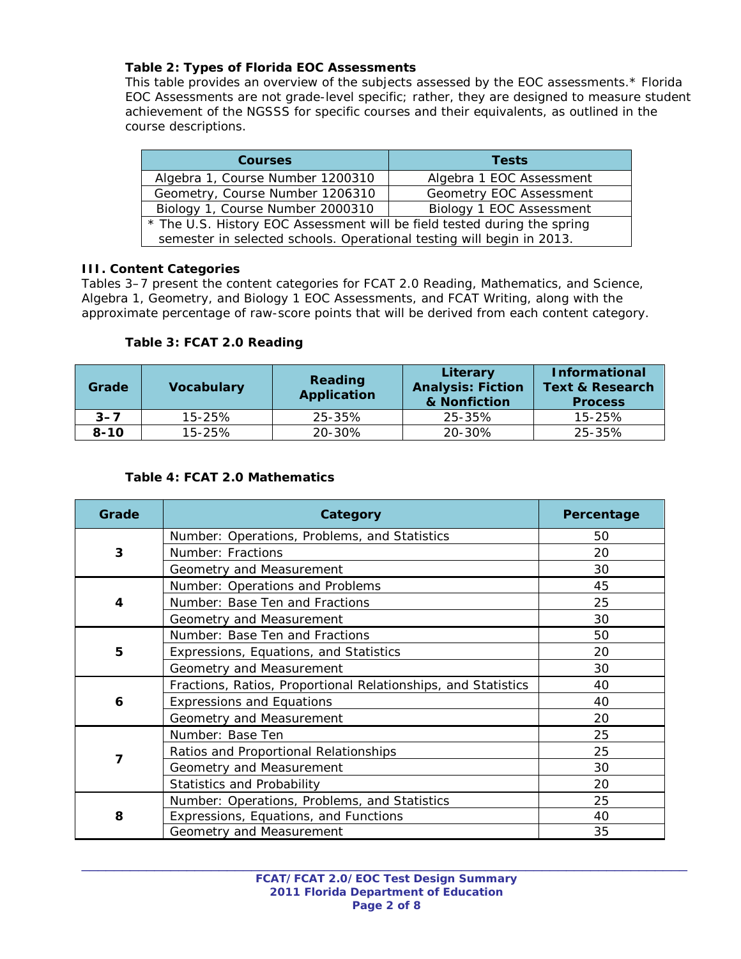# **Table 2: Types of Florida EOC Assessments**

*This table provides an overview of the subjects assessed by the EOC assessments.\* Florida EOC Assessments are not grade-level specific; rather, they are designed to measure student achievement of the NGSSS for specific courses and their equivalents, as outlined in the course descriptions.* 

| <b>Courses</b>                                                           | <b>Tests</b>             |  |
|--------------------------------------------------------------------------|--------------------------|--|
| Algebra 1, Course Number 1200310                                         | Algebra 1 EOC Assessment |  |
| Geometry, Course Number 1206310                                          | Geometry EOC Assessment  |  |
| Biology 1, Course Number 2000310                                         | Biology 1 EOC Assessment |  |
| * The U.S. History EOC Assessment will be field tested during the spring |                          |  |
| semester in selected schools. Operational testing will begin in 2013.    |                          |  |

# **III. Content Categories**

Tables 3–7 present the content categories for FCAT 2.0 Reading, Mathematics, and Science, Algebra 1, Geometry, and Biology 1 EOC Assessments, and FCAT Writing, along with the approximate percentage of raw-score points that will be derived from each content category.

# **Table 3: FCAT 2.0 Reading**

| Grade    | <b>Vocabulary</b> | Reading<br>Application | Literary<br><b>Analysis: Fiction</b><br>& Nonfiction | <b>Informational</b><br><b>Text &amp; Research</b><br><b>Process</b> |
|----------|-------------------|------------------------|------------------------------------------------------|----------------------------------------------------------------------|
| $3 - 7$  | $15 - 25%$        | 25-35%                 | 25-35%                                               | $15 - 25%$                                                           |
| $8 - 10$ | $15 - 25%$        | 20-30%                 | 20-30%                                               | 25-35%                                                               |

# **Table 4: FCAT 2.0 Mathematics**

| Grade | Category                                                      | Percentage |
|-------|---------------------------------------------------------------|------------|
|       | Number: Operations, Problems, and Statistics                  | 50         |
| 3     | Number: Fractions                                             | 20         |
|       | Geometry and Measurement                                      | 30         |
|       | Number: Operations and Problems                               | 45         |
| 4     | Number: Base Ten and Fractions                                | 25         |
|       | Geometry and Measurement                                      | 30         |
|       | Number: Base Ten and Fractions                                | 50         |
| 5     | Expressions, Equations, and Statistics                        | 20         |
|       | Geometry and Measurement                                      | 30         |
|       | Fractions, Ratios, Proportional Relationships, and Statistics | 40         |
| 6     | <b>Expressions and Equations</b>                              | 40         |
|       | Geometry and Measurement                                      | 20         |
|       | Number: Base Ten                                              | 25         |
| 7     | Ratios and Proportional Relationships                         | 25         |
|       | Geometry and Measurement                                      | 30         |
|       | <b>Statistics and Probability</b>                             | 20         |
|       | Number: Operations, Problems, and Statistics                  | 25         |
| 8     | Expressions, Equations, and Functions                         | 40         |
|       | Geometry and Measurement                                      | 35         |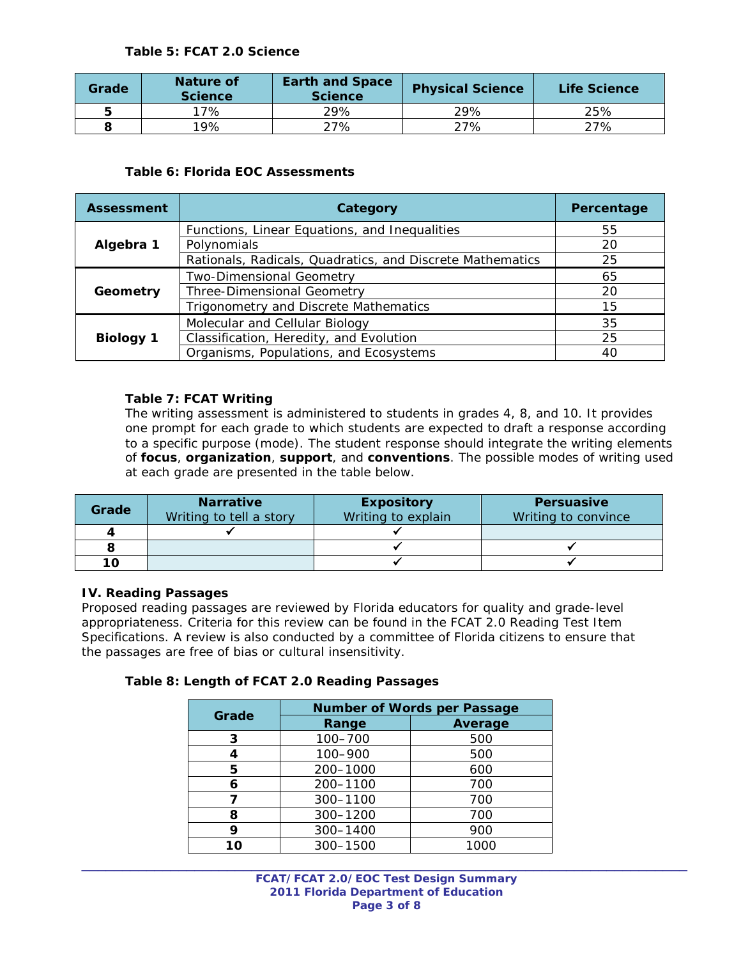#### **Table 5: FCAT 2.0 Science**

| Grade | Nature of<br><b>Science</b> | <b>Earth and Space</b><br><b>Science</b> | <b>Physical Science</b> | Life Science |
|-------|-----------------------------|------------------------------------------|-------------------------|--------------|
| 5     | 17%                         | 29%                                      | 29%                     | 25%          |
|       | 19%                         | 27%                                      | 27%                     | ?7%          |

## **Table 6: Florida EOC Assessments**

| <b>Assessment</b> | Category                                                  | Percentage |
|-------------------|-----------------------------------------------------------|------------|
|                   | Functions, Linear Equations, and Inequalities             | 55         |
| Algebra 1         | Polynomials                                               | 20         |
|                   | Rationals, Radicals, Quadratics, and Discrete Mathematics | 25         |
|                   | Two-Dimensional Geometry                                  | 65         |
| Geometry          | <b>Three-Dimensional Geometry</b>                         | 20         |
|                   | Trigonometry and Discrete Mathematics                     | 15         |
|                   | Molecular and Cellular Biology                            | 35         |
| <b>Biology 1</b>  | Classification, Heredity, and Evolution                   | 25         |
|                   | Organisms, Populations, and Ecosystems                    | 40         |

## **Table 7: FCAT Writing**

*The writing assessment is administered to students in grades 4, 8, and 10. It provides one prompt for each grade to which students are expected to draft a response according to a specific purpose (mode). The student response should integrate the writing elements of focus, organization, support, and conventions. The possible modes of writing used at each grade are presented in the table below.* 

| Grade | <b>Narrative</b><br>Writing to tell a story | <b>Expository</b><br>Writing to explain | <b>Persuasive</b><br>Writing to convince |
|-------|---------------------------------------------|-----------------------------------------|------------------------------------------|
|       |                                             |                                         |                                          |
|       |                                             |                                         |                                          |
| 10    |                                             |                                         |                                          |

#### **IV. Reading Passages**

Proposed reading passages are reviewed by Florida educators for quality and grade-level appropriateness. Criteria for this review can be found in the *FCAT 2.0 Reading Test Item Specifications.* A review is also conducted by a committee of Florida citizens to ensure that the passages are free of bias or cultural insensitivity.

#### **Table 8: Length of FCAT 2.0 Reading Passages**

| Grade | <b>Number of Words per Passage</b> |                |  |
|-------|------------------------------------|----------------|--|
|       | Range                              | <b>Average</b> |  |
| 3     | 100-700                            | 500            |  |
|       | 100-900                            | 500            |  |
| 5     | 200-1000                           | 600            |  |
| 6     | 200-1100                           | 700            |  |
|       | 300-1100                           | 700            |  |
| ឧ     | 300-1200                           | 700            |  |
| 9     | 300-1400                           | 900            |  |
| 10    | 300-1500                           | 1000           |  |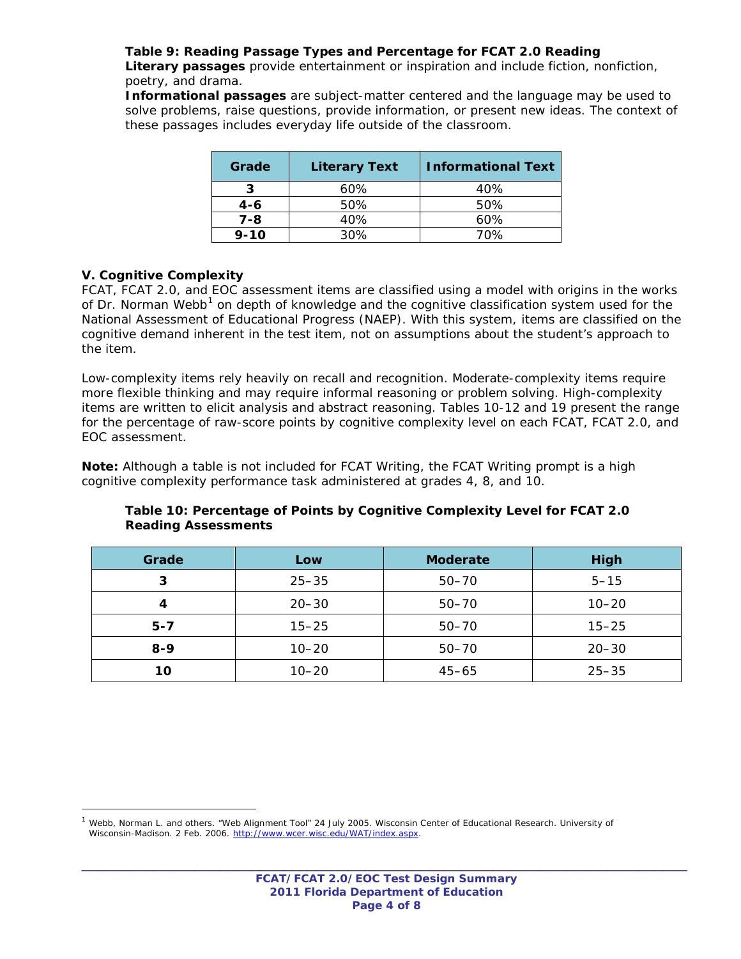# **Table 9: Reading Passage Types and Percentage for FCAT 2.0 Reading**

*Literary passages provide entertainment or inspiration and include fiction, nonfiction, poetry, and drama.* 

*Informational passages are subject-matter centered and the language may be used to*  solve problems, raise questions, provide information, or present new ideas. The context of *these passages includes everyday life outside of the classroom.*

| <b>Literary Text</b><br>Grade |     | <b>Informational Text</b> |  |
|-------------------------------|-----|---------------------------|--|
|                               | 60% | 40%                       |  |
| $4 - 6$                       | 50% | 50%                       |  |
| $7 - 8$                       | 40% | 60%                       |  |
| $9 - 10$                      | 30% | 70%                       |  |

## **V. Cognitive Complexity**

<span id="page-3-0"></span> $\overline{a}$ 

FCAT, FCAT 2.0, and EOC assessment items are classified using a model with origins in the works of Dr. Norman Webb<sup>[1](#page-3-0)</sup> on depth of knowledge and the cognitive classification system used for the National Assessment of Educational Progress (NAEP). With this system, items are classified on the cognitive demand inherent in the test item, not on assumptions about the student's approach to the item.

Low-complexity items rely heavily on recall and recognition. Moderate-complexity items require more flexible thinking and may require informal reasoning or problem solving. High-complexity items are written to elicit analysis and abstract reasoning. Tables 10-12 and 19 present the range for the percentage of raw-score points by cognitive complexity level on each FCAT, FCAT 2.0, and EOC assessment.

**Note:** Although a table is not included for FCAT Writing, the FCAT Writing prompt is a high cognitive complexity performance task administered at grades 4, 8, and 10.

| Grade   | Low       | <b>Moderate</b> | <b>High</b> |
|---------|-----------|-----------------|-------------|
| 3       | $25 - 35$ | $50 - 70$       | $5 - 15$    |
|         | $20 - 30$ | $50 - 70$       | $10 - 20$   |
| $5 - 7$ | $15 - 25$ | $50 - 70$       | $15 - 25$   |
| $8 - 9$ | $10 - 20$ | $50 - 70$       | $20 - 30$   |
| 10      | $10 - 20$ | $45 - 65$       | $25 - 35$   |

#### **Table 10: Percentage of Points by Cognitive Complexity Level for FCAT 2.0 Reading Assessments**

<sup>1</sup> Webb, Norman L. and others. "Web Alignment Tool" 24 July 2005. Wisconsin Center of Educational Research. University of Wisconsin-Madison. 2 Feb. 2006. [http://www.wcer.wisc.edu/WAT/index.aspx.](http://www.wcer.wisc.edu/WAT/index.aspx)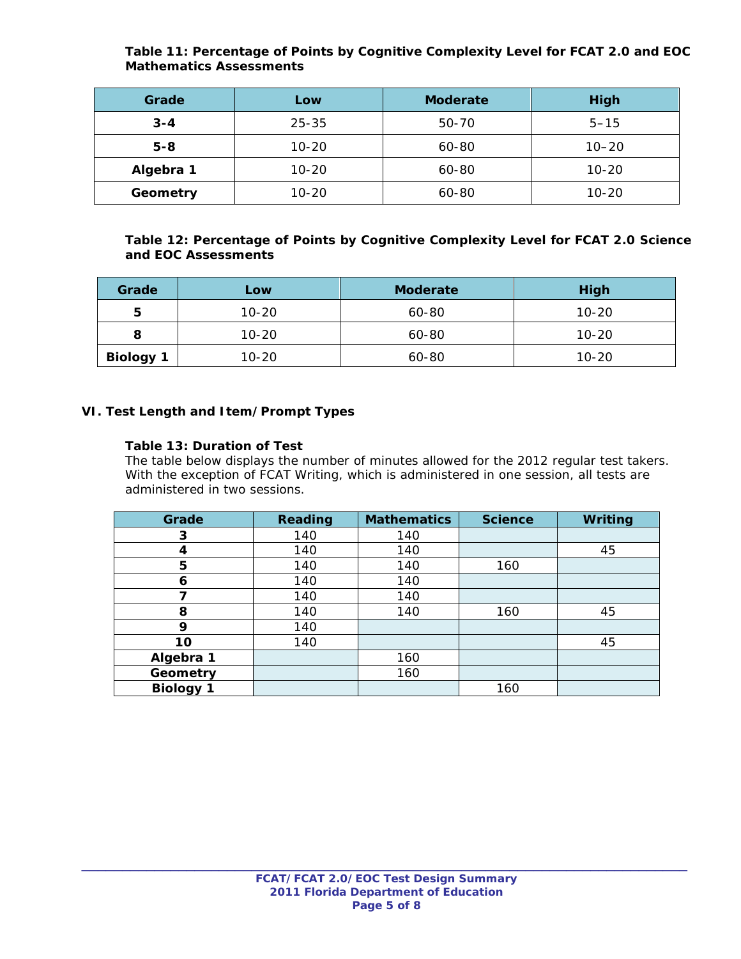# **Table 11: Percentage of Points by Cognitive Complexity Level for FCAT 2.0 and EOC Mathematics Assessments**

| Grade     | Low       | <b>Moderate</b> | High      |
|-----------|-----------|-----------------|-----------|
| $3 - 4$   | $25 - 35$ | 50-70           | $5 - 15$  |
| $5 - 8$   | $10 - 20$ | 60-80           | $10 - 20$ |
| Algebra 1 | $10 - 20$ | 60-80           | $10 - 20$ |
| Geometry  | $10 - 20$ | 60-80           | $10 - 20$ |

# **Table 12: Percentage of Points by Cognitive Complexity Level for FCAT 2.0 Science and EOC Assessments**

| Grade            | <b>Low</b> | <b>Moderate</b> | High      |
|------------------|------------|-----------------|-----------|
| 5                | $10 - 20$  | 60-80           | $10 - 20$ |
|                  | $10 - 20$  | 60-80           | 10-20     |
| <b>Biology 1</b> | $10 - 20$  | 60-80           | $10 - 20$ |

## **VI. Test Length and Item/Prompt Types**

## **Table 13: Duration of Test**

*The table below displays the number of minutes allowed for the 2012 regular test takers. With the exception of FCAT Writing, which is administered in one session, all tests are administered in two sessions.*

| Grade            | Reading | <b>Mathematics</b> | <b>Science</b> | Writing |
|------------------|---------|--------------------|----------------|---------|
| 3                | 140     | 140                |                |         |
| 4                | 140     | 140                |                | 45      |
| 5                | 140     | 140                | 160            |         |
| 6                | 140     | 140                |                |         |
| 7                | 140     | 140                |                |         |
| 8                | 140     | 140                | 160            | 45      |
| 9                | 140     |                    |                |         |
| 10               | 140     |                    |                | 45      |
| Algebra 1        |         | 160                |                |         |
| Geometry         |         | 160                |                |         |
| <b>Biology 1</b> |         |                    | 160            |         |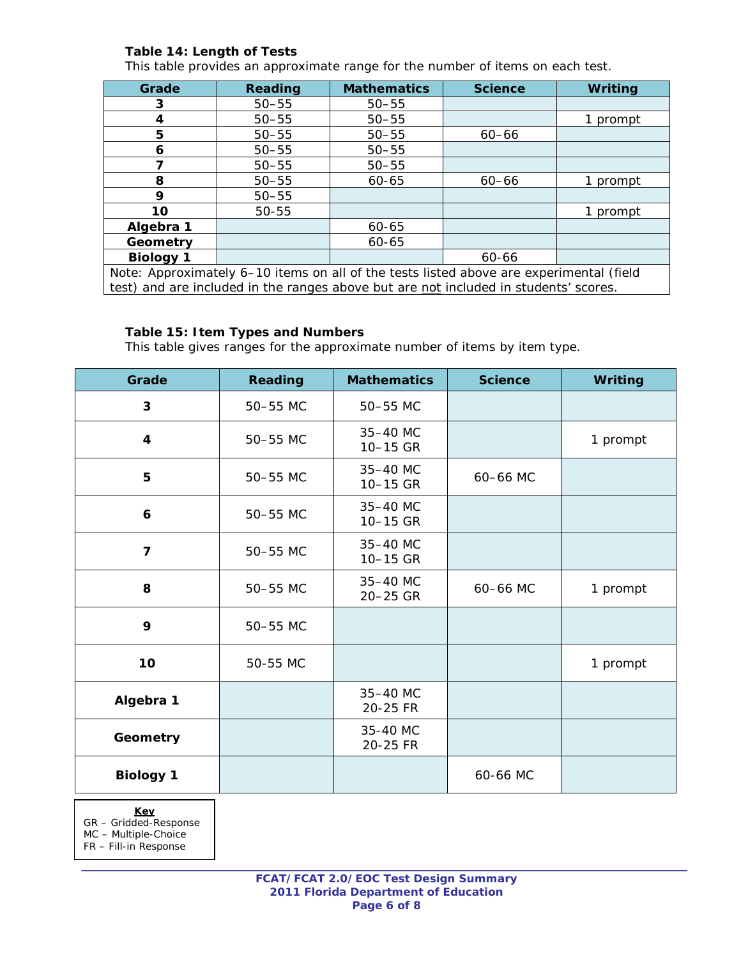# **Table 14: Length of Tests**

*This table provides an approximate range for the number of items on each test.*

| Grade                                                                                   | <b>Reading</b> | <b>Mathematics</b> | <b>Science</b> | <b>Writing</b> |
|-----------------------------------------------------------------------------------------|----------------|--------------------|----------------|----------------|
| 3                                                                                       | $50 - 55$      | $50 - 55$          |                |                |
| 4                                                                                       | $50 - 55$      | $50 - 55$          |                | 1 prompt       |
| 5                                                                                       | $50 - 55$      | $50 - 55$          | $60 - 66$      |                |
| 6                                                                                       | $50 - 55$      | $50 - 55$          |                |                |
|                                                                                         | $50 - 55$      | $50 - 55$          |                |                |
| 8                                                                                       | $50 - 55$      | 60-65              | $60 - 66$      | prompt         |
| 9                                                                                       | $50 - 55$      |                    |                |                |
| 10                                                                                      | $50 - 55$      |                    |                | 1 prompt       |
| Algebra 1                                                                               |                | 60-65              |                |                |
| Geometry                                                                                |                | 60-65              |                |                |
| <b>Biology 1</b>                                                                        |                |                    | 60-66          |                |
| Note: Approximately 6-10 items on all of the tests listed above are experimental (field |                |                    |                |                |
| test) and are included in the ranges above but are not included in students' scores.    |                |                    |                |                |

#### **Table 15: Item Types and Numbers**

*This table gives ranges for the approximate number of items by item type.* 

| Grade                   | <b>Reading</b> | <b>Mathematics</b>   | <b>Science</b> | Writing  |
|-------------------------|----------------|----------------------|----------------|----------|
| 3                       | 50-55 MC       | 50-55 MC             |                |          |
| $\overline{\mathbf{4}}$ | 50-55 MC       | 35-40 MC<br>10-15 GR |                | 1 prompt |
| 5                       | 50-55 MC       | 35-40 MC<br>10-15 GR | 60-66 MC       |          |
| 6                       | 50-55 MC       | 35-40 MC<br>10-15 GR |                |          |
| $\overline{7}$          | 50-55 MC       | 35-40 MC<br>10-15 GR |                |          |
| 8                       | 50-55 MC       | 35-40 MC<br>20-25 GR | 60-66 MC       | 1 prompt |
| 9                       | 50-55 MC       |                      |                |          |
| 10                      | 50-55 MC       |                      |                | 1 prompt |
| Algebra 1               |                | 35-40 MC<br>20-25 FR |                |          |
| Geometry                |                | 35-40 MC<br>20-25 FR |                |          |
| <b>Biology 1</b>        |                |                      | 60-66 MC       |          |

**Key**

GR – Gridded-Response

MC – Multiple-Choice

FR – Fill-in Response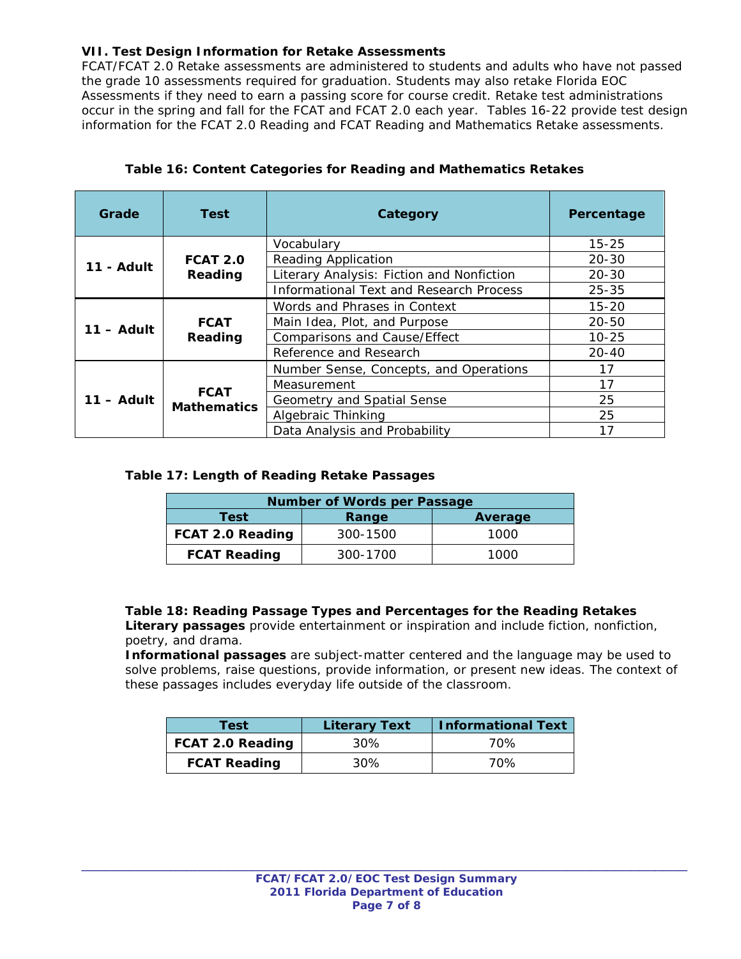# **VII. Test Design Information for Retake Assessments**

FCAT/FCAT 2.0 Retake assessments are administered to students and adults who have not passed the grade 10 assessments required for graduation. Students may also retake Florida EOC Assessments if they need to earn a passing score for course credit. Retake test administrations occur in the spring and fall for the FCAT and FCAT 2.0 each year. Tables 16-22 provide test design information for the FCAT 2.0 Reading and FCAT Reading and Mathematics Retake assessments.

| Grade        | Test                                           | Category                                  | Percentage |
|--------------|------------------------------------------------|-------------------------------------------|------------|
|              |                                                | Vocabulary                                | $15 - 25$  |
| 11 - Adult   | <b>FCAT 2.0</b>                                | <b>Reading Application</b>                | $20 - 30$  |
|              | Reading                                        | Literary Analysis: Fiction and Nonfiction | $20 - 30$  |
|              | <b>Informational Text and Research Process</b> | $25 - 35$                                 |            |
|              |                                                | Words and Phrases in Context              | $15 - 20$  |
| $11 -$ Adult | <b>FCAT</b>                                    | Main Idea, Plot, and Purpose              | $20 - 50$  |
|              | Reading                                        | <b>Comparisons and Cause/Effect</b>       | $10 - 25$  |
|              | Reference and Research                         | $20 - 40$                                 |            |
|              |                                                | Number Sense, Concepts, and Operations    | 17         |
|              |                                                | Measurement                               | 17         |
| 11 – Adult   | <b>FCAT</b>                                    | Geometry and Spatial Sense                | 25         |
|              | <b>Mathematics</b>                             | Algebraic Thinking                        | 25         |
|              |                                                | Data Analysis and Probability             | 17         |

# **Table 16: Content Categories for Reading and Mathematics Retakes**

#### **Table 17: Length of Reading Retake Passages**

| <b>Number of Words per Passage</b> |          |      |  |  |
|------------------------------------|----------|------|--|--|
| Test<br>Average<br>Range           |          |      |  |  |
| FCAT 2.0 Reading                   | 300-1500 | 1000 |  |  |
| <b>FCAT Reading</b><br>300-1700    |          | 1000 |  |  |

#### **Table 18: Reading Passage Types and Percentages for the Reading Retakes**

*Literary passages provide entertainment or inspiration and include fiction, nonfiction, poetry, and drama.* 

*Informational passages are subject-matter centered and the language may be used to*  solve problems, raise questions, provide information, or present new ideas. The context of *these passages includes everyday life outside of the classroom.*

| Test                    | <b>Literary Text</b> | <b>Informational Text</b> |
|-------------------------|----------------------|---------------------------|
| <b>FCAT 2.0 Reading</b> | 30%                  | 70%                       |
| <b>FCAT Reading</b>     | 30%                  | 70%                       |